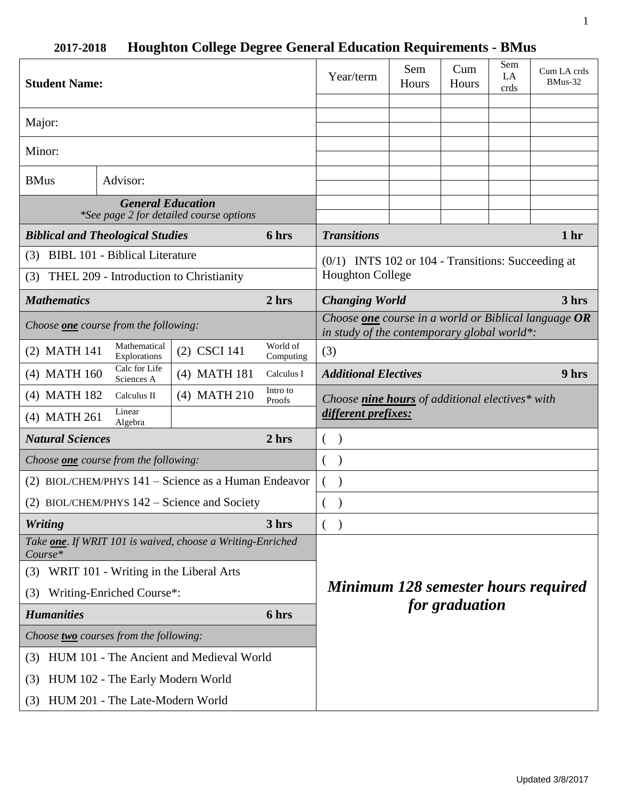| <b>Student Name:</b>                                                |                                        |                                                                    | Year/term                                                                                                    | Sem<br>Hours                                         | Cum<br>Hours | Sem<br>LA<br>crds | Cum LA crds<br>BMus-32 |                 |
|---------------------------------------------------------------------|----------------------------------------|--------------------------------------------------------------------|--------------------------------------------------------------------------------------------------------------|------------------------------------------------------|--------------|-------------------|------------------------|-----------------|
| Major:                                                              |                                        |                                                                    |                                                                                                              |                                                      |              |                   |                        |                 |
| Minor:                                                              |                                        |                                                                    |                                                                                                              |                                                      |              |                   |                        |                 |
| Advisor:<br><b>BMus</b>                                             |                                        |                                                                    |                                                                                                              |                                                      |              |                   |                        |                 |
| <b>General Education</b><br>*See page 2 for detailed course options |                                        |                                                                    |                                                                                                              |                                                      |              |                   |                        |                 |
| <b>Biblical and Theological Studies</b>                             |                                        |                                                                    | 6 hrs                                                                                                        | <b>Transitions</b>                                   |              |                   |                        | 1 <sub>hr</sub> |
| <b>BIBL 101 - Biblical Literature</b><br>(3)                        |                                        |                                                                    |                                                                                                              | $(0/1)$ INTS 102 or 104 - Transitions: Succeeding at |              |                   |                        |                 |
| THEL 209 - Introduction to Christianity<br>(3)                      |                                        |                                                                    |                                                                                                              | <b>Houghton College</b>                              |              |                   |                        |                 |
| <b>Mathematics</b>                                                  |                                        | 2 hrs                                                              | <b>Changing World</b><br>3 hrs                                                                               |                                                      |              |                   |                        |                 |
| Choose <b>one</b> course from the following:                        |                                        |                                                                    | Choose <b>one</b> course in a world or Biblical language $OR$<br>in study of the contemporary global world*: |                                                      |              |                   |                        |                 |
| (2) MATH 141                                                        | Mathematical<br>Explorations           | (2) CSCI 141                                                       | World of<br>Computing                                                                                        | (3)                                                  |              |                   |                        |                 |
| $(4)$ MATH 160                                                      | Calc for Life<br>Sciences A            | (4) MATH 181                                                       | Calculus I                                                                                                   | <b>Additional Electives</b>                          |              |                   |                        | 9 hrs           |
| (4) MATH 182                                                        | Calculus II                            | (4) MATH 210                                                       | Intro to<br>Proofs                                                                                           | Choose nine hours of additional electives* with      |              |                   |                        |                 |
| (4) MATH 261                                                        | Linear<br>Algebra                      |                                                                    |                                                                                                              | different prefixes:                                  |              |                   |                        |                 |
| 2 <sub>hrs</sub><br><b>Natural Sciences</b>                         |                                        |                                                                    |                                                                                                              | €<br>$\lambda$                                       |              |                   |                        |                 |
| Choose <b>one</b> course from the following:                        |                                        |                                                                    | €<br>$\mathcal{E}$                                                                                           |                                                      |              |                   |                        |                 |
| (2) BIOL/CHEM/PHYS 141 – Science as a Human Endeavor                |                                        |                                                                    | €<br>$\lambda$                                                                                               |                                                      |              |                   |                        |                 |
| (2) BIOL/CHEM/PHYS $142$ – Science and Society                      |                                        |                                                                    |                                                                                                              |                                                      |              |                   |                        |                 |
| <b>Writing</b>                                                      |                                        |                                                                    | 3 hrs                                                                                                        | $\lambda$<br>€                                       |              |                   |                        |                 |
| $Course*$                                                           |                                        | Take <b>one</b> . If WRIT 101 is waived, choose a Writing-Enriched |                                                                                                              |                                                      |              |                   |                        |                 |
| (3)                                                                 | WRIT 101 - Writing in the Liberal Arts |                                                                    |                                                                                                              |                                                      |              |                   |                        |                 |
| Writing-Enriched Course*:<br>(3)                                    |                                        |                                                                    | <b>Minimum 128 semester hours required</b>                                                                   |                                                      |              |                   |                        |                 |
| <b>Humanities</b>                                                   |                                        | 6 hrs                                                              | for graduation                                                                                               |                                                      |              |                   |                        |                 |
| Choose two courses from the following:                              |                                        |                                                                    |                                                                                                              |                                                      |              |                   |                        |                 |
| HUM 101 - The Ancient and Medieval World<br>(3)                     |                                        |                                                                    |                                                                                                              |                                                      |              |                   |                        |                 |
| HUM 102 - The Early Modern World<br>(3)                             |                                        |                                                                    |                                                                                                              |                                                      |              |                   |                        |                 |
| HUM 201 - The Late-Modern World<br>(3)                              |                                        |                                                                    |                                                                                                              |                                                      |              |                   |                        |                 |

# **2017-2018 Houghton College Degree General Education Requirements - BMus**